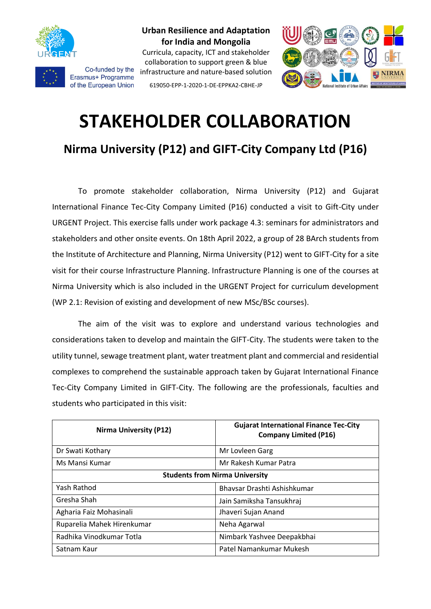

Co-funded by the Erasmus+ Programme of the European Union

**Urban Resilience and Adaptation for India and Mongolia** Curricula, capacity, ICT and stakeholder

collaboration to support green & blue infrastructure and nature-based solution 619050-EPP-1-2020-1-DE-EPPKA2-CBHE-JP



# **STAKEHOLDER COLLABORATION**

**Nirma University (P12) and GIFT-City Company Ltd (P16)**

To promote stakeholder collaboration, Nirma University (P12) and Gujarat International Finance Tec-City Company Limited (P16) conducted a visit to Gift-City under URGENT Project. This exercise falls under work package 4.3: seminars for administrators and stakeholders and other onsite events. On 18th April 2022, a group of 28 BArch students from the Institute of Architecture and Planning, Nirma University (P12) went to GIFT-City for a site visit for their course Infrastructure Planning. Infrastructure Planning is one of the courses at Nirma University which is also included in the URGENT Project for curriculum development (WP 2.1: Revision of existing and development of new MSc/BSc courses).

The aim of the visit was to explore and understand various technologies and considerations taken to develop and maintain the GIFT-City. The students were taken to the utility tunnel, sewage treatment plant, water treatment plant and commercial and residential complexes to comprehend the sustainable approach taken by Gujarat International Finance Tec-City Company Limited in GIFT-City. The following are the professionals, faculties and students who participated in this visit:

| <b>Nirma University (P12)</b>         | <b>Gujarat International Finance Tec-City</b><br><b>Company Limited (P16)</b> |
|---------------------------------------|-------------------------------------------------------------------------------|
| Dr Swati Kothary                      | Mr Lovleen Garg                                                               |
| Ms Mansi Kumar                        | Mr Rakesh Kumar Patra                                                         |
| <b>Students from Nirma University</b> |                                                                               |
| Yash Rathod                           | Bhaysar Drashti Ashishkumar                                                   |
| Gresha Shah                           | Jain Samiksha Tansukhraj                                                      |
| Agharia Faiz Mohasinali               | Jhaveri Sujan Anand                                                           |
| Ruparelia Mahek Hirenkumar            | Neha Agarwal                                                                  |
| Radhika Vinodkumar Totla              | Nimbark Yashvee Deepakbhai                                                    |
| Satnam Kaur                           | Patel Namankumar Mukesh                                                       |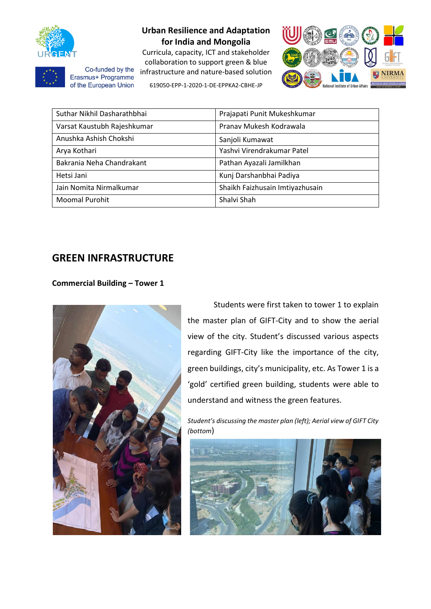

## **Urban Resilience and Adaptation for India and Mongolia**

Curricula, capacity, ICT and stakeholder collaboration to support green & blue infrastructure and nature-based solution 619050-EPP-1-2020-1-DE-EPPKA2-CBHE-JP



Co-funded by the Erasmus+ Programme of the European Union

| Suthar Nikhil Dasharathbhai | Prajapati Punit Mukeshkumar     |
|-----------------------------|---------------------------------|
| Varsat Kaustubh Rajeshkumar | Pranav Mukesh Kodrawala         |
| Anushka Ashish Chokshi      | Sanjoli Kumawat                 |
| Arya Kothari                | Yashvi Virendrakumar Patel      |
| Bakrania Neha Chandrakant   | Pathan Ayazali Jamilkhan        |
| Hetsi Jani                  | Kunj Darshanbhai Padiya         |
| Jain Nomita Nirmalkumar     | Shaikh Faizhusain Imtiyazhusain |
| <b>Moomal Purohit</b>       | Shalvi Shah                     |

## **GREEN INFRASTRUCTURE**

### **Commercial Building – Tower 1**



Students were first taken to tower 1 to explain the master plan of GIFT-City and to show the aerial view of the city. Student's discussed various aspects regarding GIFT-City like the importance of the city, green buildings, city's municipality, etc. As Tower 1 is a 'gold' certified green building, students were able to understand and witness the green features.

*Student's discussing the master plan (left); Aerial view of GIFT City (bottom*)

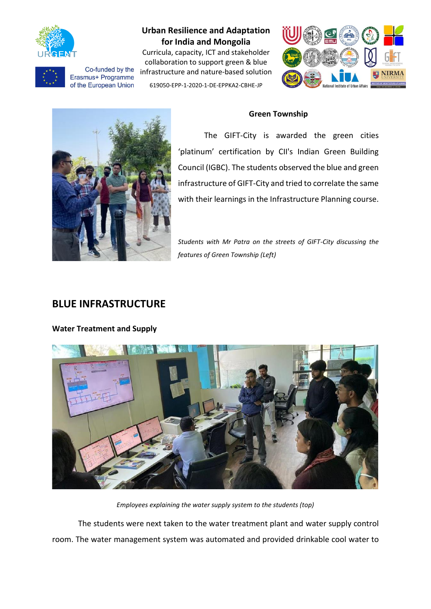

## **Urban Resilience and Adaptation for India and Mongolia**

Curricula, capacity, ICT and stakeholder collaboration to support green & blue Co-funded by the infrastructure and nature-based solution of the European Union 619050-EPP-1-2020-1-DE-EPPKA2-CBHE-JP



#### **Green Township**



Erasmus+ Programme

The GIFT-City is awarded the green cities 'platinum' certification by CII's Indian Green Building Council (IGBC). The students observed the blue and green infrastructure of GIFT-City and tried to correlate the same with their learnings in the Infrastructure Planning course.

*Students with Mr Patra on the streets of GIFT-City discussing the features of Green Township (Left)*

# **BLUE INFRASTRUCTURE**

**Water Treatment and Supply**



*Employees explaining the water supply system to the students (top)*

The students were next taken to the water treatment plant and water supply control room. The water management system was automated and provided drinkable cool water to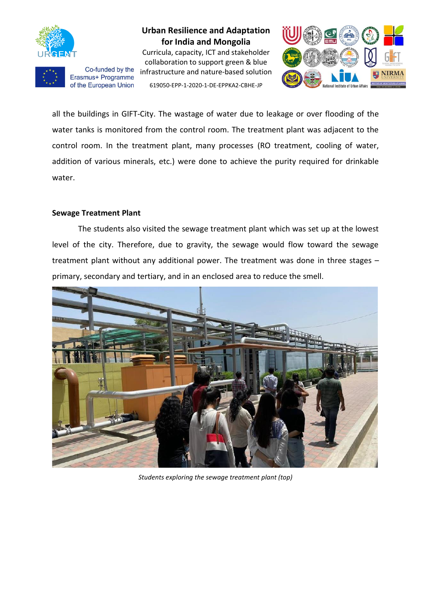

Co-funded by the Erasmus+ Programme of the European Union

**Urban Resilience and Adaptation for India and Mongolia**

Curricula, capacity, ICT and stakeholder collaboration to support green & blue infrastructure and nature-based solution 619050-EPP-1-2020-1-DE-EPPKA2-CBHE-JP



all the buildings in GIFT-City. The wastage of water due to leakage or over flooding of the water tanks is monitored from the control room. The treatment plant was adjacent to the control room. In the treatment plant, many processes (RO treatment, cooling of water, addition of various minerals, etc.) were done to achieve the purity required for drinkable water.

#### **Sewage Treatment Plant**

The students also visited the sewage treatment plant which was set up at the lowest level of the city. Therefore, due to gravity, the sewage would flow toward the sewage treatment plant without any additional power. The treatment was done in three stages – primary, secondary and tertiary, and in an enclosed area to reduce the smell.



*Students exploring the sewage treatment plant (top)*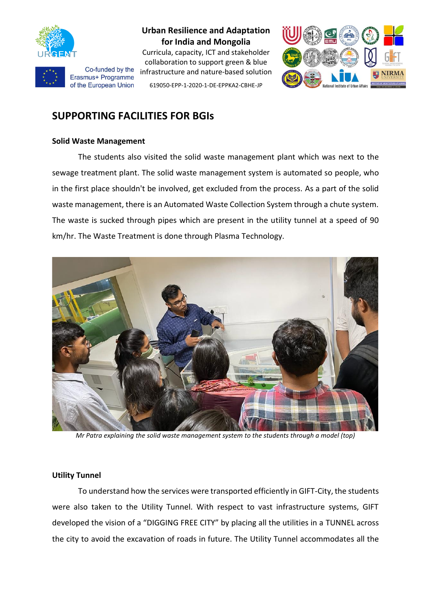



Curricula, capacity, ICT and stakeholder collaboration to support green & blue infrastructure and nature-based solution 619050-EPP-1-2020-1-DE-EPPKA2-CBHE-JP



# **SUPPORTING FACILITIES FOR BGIs**

#### **Solid Waste Management**

Co-funded by the Erasmus+ Programme of the European Union

The students also visited the solid waste management plant which was next to the sewage treatment plant. The solid waste management system is automated so people, who in the first place shouldn't be involved, get excluded from the process. As a part of the solid waste management, there is an Automated Waste Collection System through a chute system. The waste is sucked through pipes which are present in the utility tunnel at a speed of 90 km/hr. The Waste Treatment is done through Plasma Technology.



*Mr Patra explaining the solid waste management system to the students through a model (top)*

#### **Utility Tunnel**

To understand how the services were transported efficiently in GIFT-City, the students were also taken to the Utility Tunnel. With respect to vast infrastructure systems, GIFT developed the vision of a "DIGGING FREE CITY" by placing all the utilities in a TUNNEL across the city to avoid the excavation of roads in future. The Utility Tunnel accommodates all the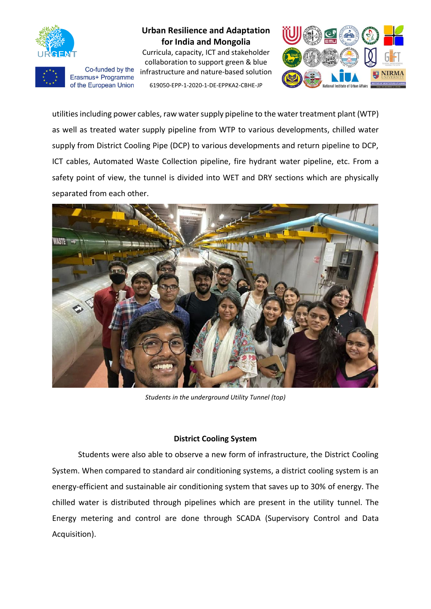

Co-funded by the Erasmus+ Programme of the European Union

**Urban Resilience and Adaptation for India and Mongolia**

Curricula, capacity, ICT and stakeholder collaboration to support green & blue infrastructure and nature-based solution 619050-EPP-1-2020-1-DE-EPPKA2-CBHE-JP



utilities including power cables, raw water supply pipeline to the water treatment plant (WTP) as well as treated water supply pipeline from WTP to various developments, chilled water supply from District Cooling Pipe (DCP) to various developments and return pipeline to DCP, ICT cables, Automated Waste Collection pipeline, fire hydrant water pipeline, etc. From a safety point of view, the tunnel is divided into WET and DRY sections which are physically separated from each other.



*Students in the underground Utility Tunnel (top)*

#### **District Cooling System**

Students were also able to observe a new form of infrastructure, the District Cooling System. When compared to standard air conditioning systems, a district cooling system is an energy-efficient and sustainable air conditioning system that saves up to 30% of energy. The chilled water is distributed through pipelines which are present in the utility tunnel. The Energy metering and control are done through SCADA (Supervisory Control and Data Acquisition).